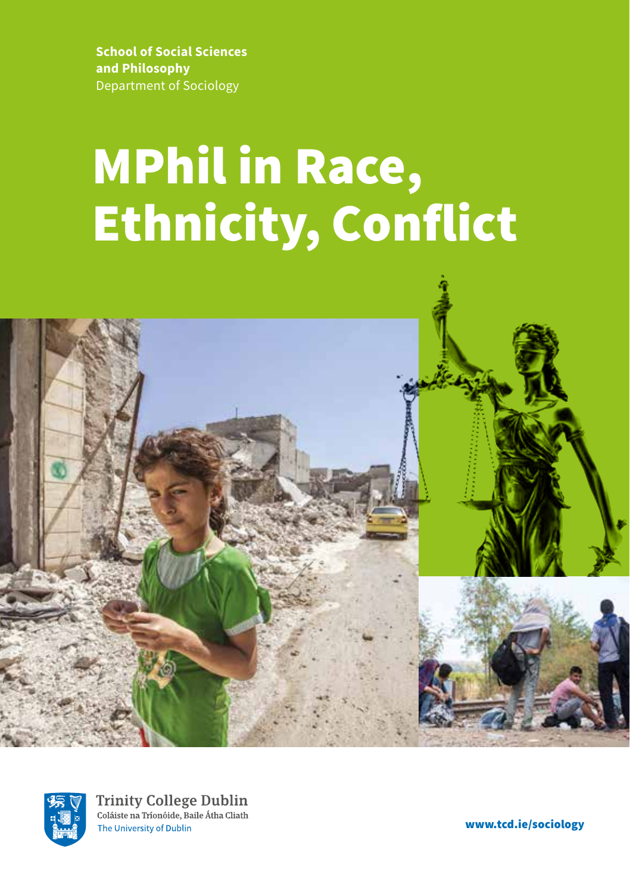**School of Social Sciences and Philosophy**  Department of Sociology

# MPhil in Race, Ethnicity, Conflict





**Trinity College Dublin** Coláiste na Tríonóide, Baile Átha Cliath The University of Dublin

www.tcd.ie/sociology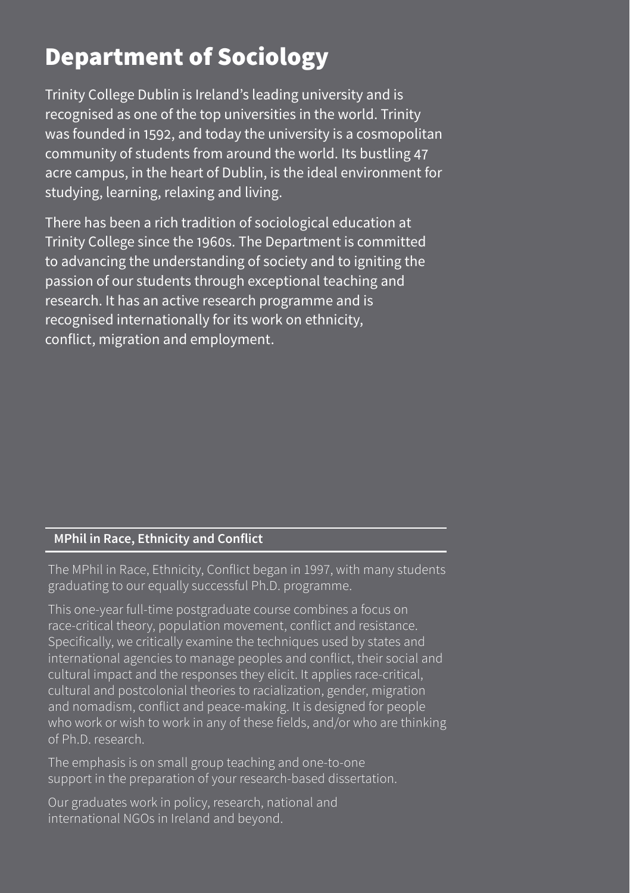# Department of Sociology

Trinity College Dublin is Ireland's leading university and is recognised as one of the top universities in the world. Trinity was founded in 1592, and today the university is a cosmopolitan community of students from around the world. Its bustling 47 acre campus, in the heart of Dublin, is the ideal environment for studying, learning, relaxing and living.

There has been a rich tradition of sociological education at Trinity College since the 1960s. The Department is committed to advancing the understanding of society and to igniting the passion of our students through exceptional teaching and research. It has an active research programme and is recognised internationally for its work on ethnicity, conflict, migration and employment.

#### **MPhil in Race, Ethnicity and Conflict**

The MPhil in Race, Ethnicity, Conflict began in 1997, with many students graduating to our equally successful Ph.D. programme.

This one-year full-time postgraduate course combines a focus on race-critical theory, population movement, conflict and resistance. Specifically, we critically examine the techniques used by states and international agencies to manage peoples and conflict, their social and cultural impact and the responses they elicit. It applies race-critical, cultural and postcolonial theories to racialization, gender, migration and nomadism, conflict and peace-making. It is designed for people who work or wish to work in any of these fields, and/or who are thinking of Ph.D. research.

The emphasis is on small group teaching and one-to-one support in the preparation of your research-based dissertation.

Our graduates work in policy, research, national and international NGOs in Ireland and beyond.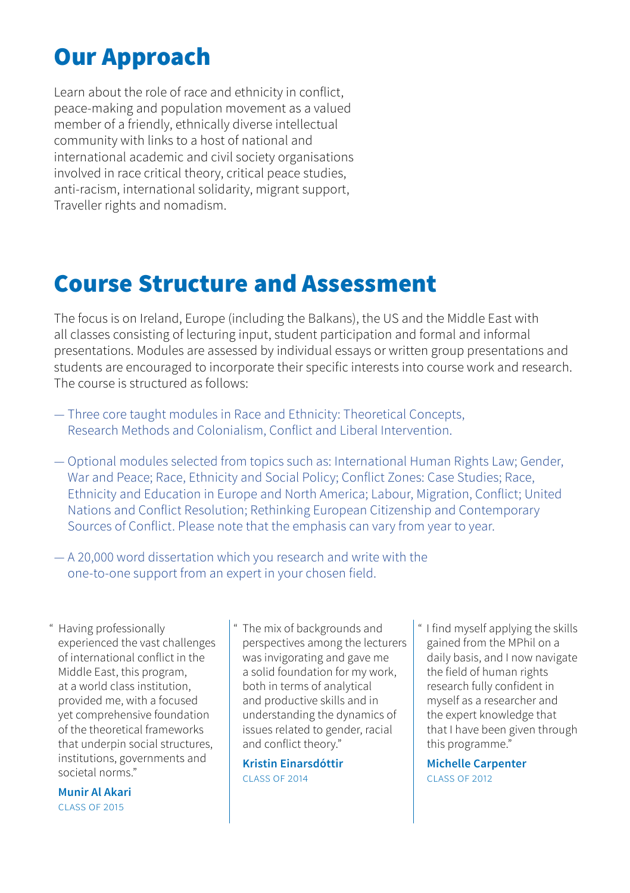## Our Approach

Learn about the role of race and ethnicity in conflict, peace-making and population movement as a valued member of a friendly, ethnically diverse intellectual community with links to a host of national and international academic and civil society organisations involved in race critical theory, critical peace studies, anti-racism, international solidarity, migrant support, Traveller rights and nomadism.

### Course Structure and Assessment

The focus is on Ireland, Europe (including the Balkans), the US and the Middle East with all classes consisting of lecturing input, student participation and formal and informal presentations. Modules are assessed by individual essays or written group presentations and students are encouraged to incorporate their specific interests into course work and research. The course is structured as follows:

- Three core taught modules in Race and Ethnicity: Theoretical Concepts, Research Methods and Colonialism, Conflict and Liberal Intervention.
- Optional modules selected from topics such as: International Human Rights Law; Gender, War and Peace; Race, Ethnicity and Social Policy; Conflict Zones: Case Studies; Race, Ethnicity and Education in Europe and North America; Labour, Migration, Conflict; United Nations and Conflict Resolution; Rethinking European Citizenship and Contemporary Sources of Conflict. Please note that the emphasis can vary from year to year.
- A 20,000 word dissertation which you research and write with the one-to-one support from an expert in your chosen field.

Having professionally experienced the vast challenges of international conflict in the Middle East, this program, at a world class institution, provided me, with a focused yet comprehensive foundation of the theoretical frameworks that underpin social structures. institutions, governments and societal norms."

**Munir Al Akari** class of 2015

The mix of backgrounds and perspectives among the lecturers was invigorating and gave me a solid foundation for my work, both in terms of analytical and productive skills and in understanding the dynamics of issues related to gender, racial and conflict theory."

**Kristin Einarsdóttir** class of 2014

" I find myself applying the skills gained from the MPhil on a daily basis, and I now navigate the field of human rights research fully confident in myself as a researcher and the expert knowledge that that I have been given through this programme."

**Michelle Carpenter** class of 2012